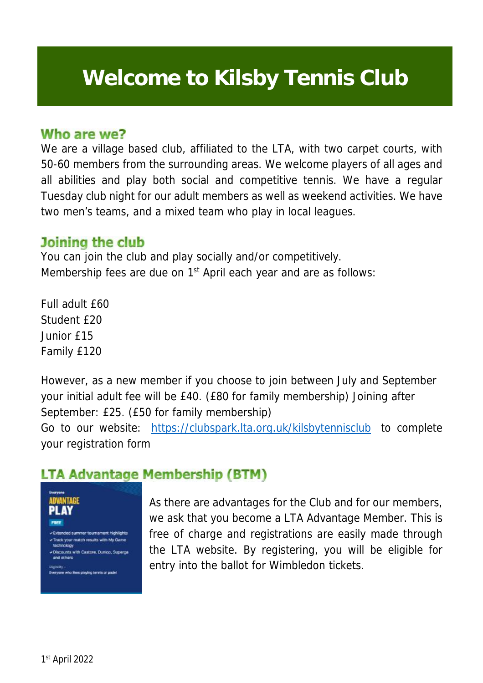# Welcome to **Welcome to Kilsby Tennis Club**

#### Who are we?

We are a village based club, affiliated to the LTA, with two carpet courts, with 50-60 members from the surrounding areas. We welcome players of all ages and all abilities and play both social and competitive tennis. We have a regular Tuesday club night for our adult members as well as weekend activities. We have two men's teams, and a mixed team who play in local leagues.

#### Joining the club

You can join the club and play socially and/or competitively. Membership fees are due on 1<sup>st</sup> April each year and are as follows:

Full adult £60 Student £20 Junior £15 Family £120

However, as a new member if you choose to join between July and September your initial adult fee will be £40. (£80 for family membership) Joining after September: £25. (£50 for family membership)

Go to our website: <https://clubspark.lta.org.uk/kilsbytennisclub> to complete your registration form

# **LTA Advantage Membership (BTM)**

Kilsby Tennis Club Tennis Club Tennis Club Tennis Club Tennis Club Tennis Club Tennis Club Tennis Club Tennis<br>Club Tennis Club Tennis Club Tennis Club Tennis Club Tennis Club Tennis Club Tennis Club Tennis Club Tennis C



As there are advantages for the Club and for our members, we ask that you become a LTA Advantage Member. This is free of charge and registrations are easily made through the LTA website. By registering, you will be eligible for entry into the ballot for Wimbledon tickets.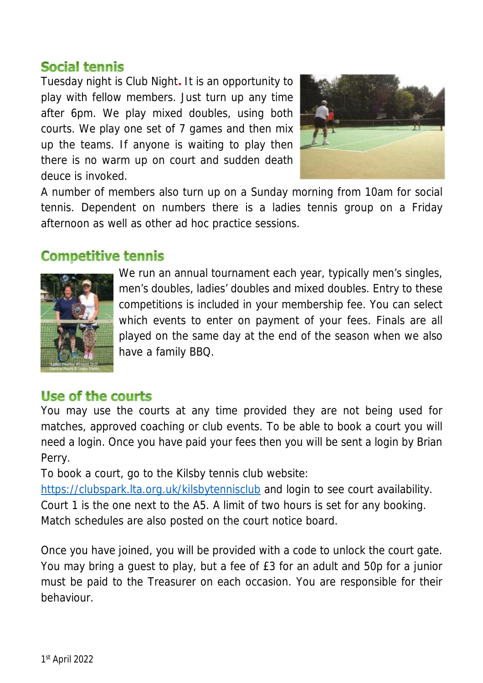## **Social tennis**

Tuesday night is Club Night**.** It is an opportunity to play with fellow members. Just turn up any time after 6pm. We play mixed doubles, using both courts. We play one set of 7 games and then mix up the teams. If anyone is waiting to play then there is no warm up on court and sudden death deuce is invoked.



A number of members also turn up on a Sunday morning from 10am for social tennis. Dependent on numbers there is a ladies tennis group on a Friday afternoon as well as other ad hoc practice sessions.

### **Competitive tennis**



We run an annual tournament each year, typically men's singles, men's doubles, ladies' doubles and mixed doubles. Entry to these competitions is included in your membership fee. You can select which events to enter on payment of your fees. Finals are all played on the same day at the end of the season when we also have a family BBQ.

### Use of the courts

You may use the courts at any time provided they are not being used for matches, approved coaching or club events. To be able to book a court you will need a login. Once you have paid your fees then you will be sent a login by Brian Perry.

To book a court, go to the Kilsby tennis club website:

<https://clubspark.lta.org.uk/kilsbytennisclub> and login to see court availability. Court 1 is the one next to the A5. A limit of two hours is set for any booking. Match schedules are also posted on the court notice board.

Once you have joined, you will be provided with a code to unlock the court gate. You may bring a guest to play, but a fee of £3 for an adult and 50p for a junior must be paid to the Treasurer on each occasion. You are responsible for their behaviour.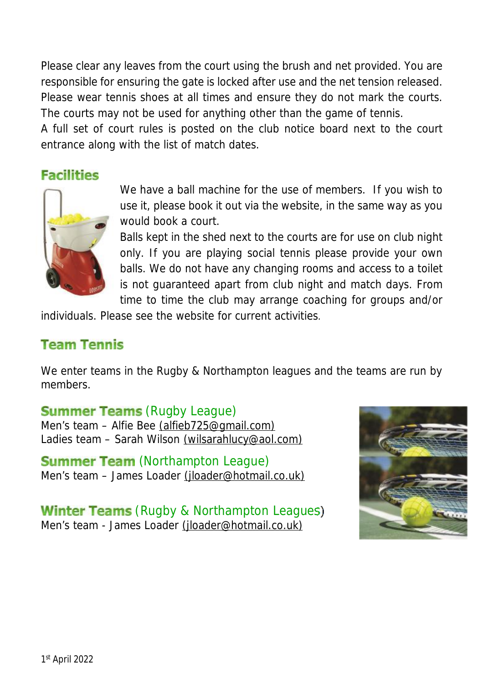Please clear any leaves from the court using the brush and net provided. You are responsible for ensuring the gate is locked after use and the net tension released. Please wear tennis shoes at all times and ensure they do not mark the courts. The courts may not be used for anything other than the game of tennis.

A full set of court rules is posted on the club notice board next to the court entrance along with the list of match dates.

## **Facilities**



We have a ball machine for the use of members. If you wish to use it, please book it out via the website, in the same way as you would book a court.

Balls kept in the shed next to the courts are for use on club night only. If you are playing social tennis please provide your own balls. We do not have any changing rooms and access to a toilet is not guaranteed apart from club night and match days. From time to time the club may arrange coaching for groups and/or

individuals. Please see the website for current activities.

## **Team Tennis**

We enter teams in the Rugby & Northampton leagues and the teams are run by members.

#### **Summer Teams (Rugby League)**

Men's team – Alfie Bee [\(alfieb725@gmail.com\)](mailto:(alfieb725@gmail.com)) Ladies team – Sarah Wilson [\(wilsarahlucy@aol.com\)](mailto:(wilsarahlucy@aol.com))

#### **Summer Team (Northampton League)**

Men's team - James Loader [\(jloader@hotmail.co.uk\)](mailto:(jloader@hotmail.co.uk))

Winter Teams (Rugby & Northampton Leagues) Men's team - James Loader [\(jloader@hotmail.co.uk\)](mailto:(jloader@hotmail.co.uk))